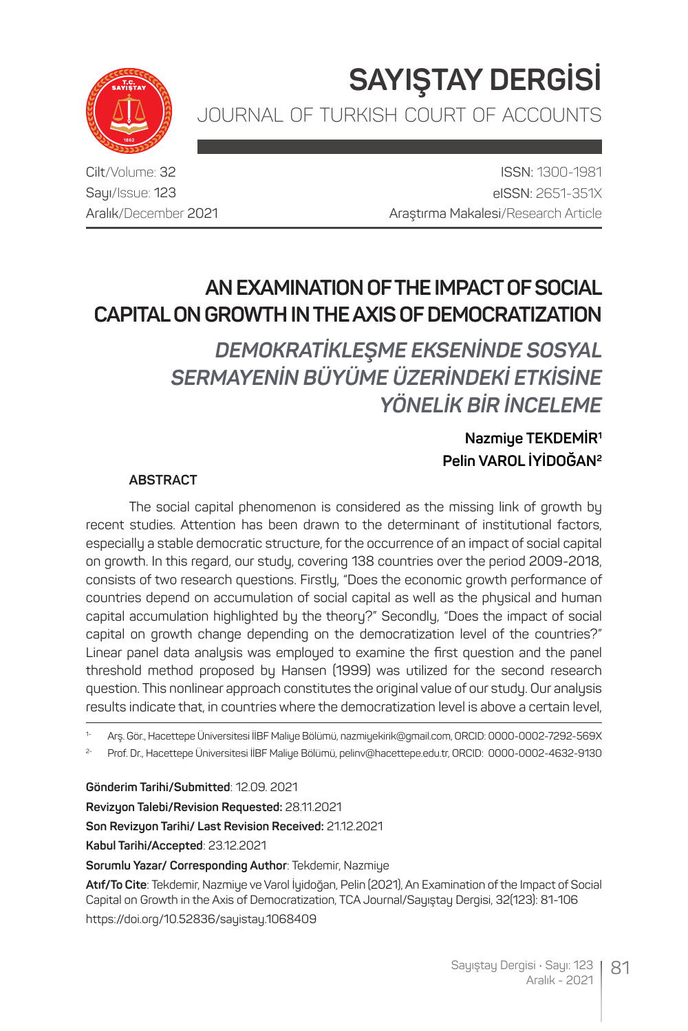**SAYIŞTAY DERGİSİ** JOURNAL OF TURKISH COURT OF ACCOUNTS



Cilt/Volume: 32 Sayı/Issue: 123 Aralık/December 2021

ISSN: 1300-1981 eISSN: 2651-351X Araştırma Makalesi/Research Article

# **AN EXAMINATION OF THE IMPACT OF SOCIAL CAPITAL ON GROWTH IN THE AXIS OF DEMOCRATIZATION**

*DEMOKRATİKLEŞME EKSENİNDE SOSYAL SERMAYENİN BÜYÜME ÜZERİNDEKİ ETKİSİNE YÖNELİK BİR İNCELEME*

### **Nazmiye TEKDEMİR1 Pelin VAROL İYİDOĞAN2**

#### **ABSTRACT**

The social capital phenomenon is considered as the missing link of growth by recent studies. Attention has been drawn to the determinant of institutional factors, especially a stable democratic structure, for the occurrence of an impact of social capital on growth. In this regard, our study, covering 138 countries over the period 2009-2018, consists of two research questions. Firstly, "Does the economic growth performance of countries depend on accumulation of social capital as well as the physical and human capital accumulation highlighted by the theory?" Secondly, "Does the impact of social capital on growth change depending on the democratization level of the countries?" Linear panel data analysis was employed to examine the first question and the panel threshold method proposed by Hansen (1999) was utilized for the second research question. This nonlinear approach constitutes the original value of our study. Our analysis results indicate that, in countries where the democratization level is above a certain level,

1- Arş. Gör., Hacettepe Üniversitesi İİBF Maliye Bölümü, nazmiyekirik@gmail.com, ORCID: 0000-0002-7292-569X

2- Prof. Dr., Hacettepe Üniversitesi İİBF Maliye Bölümü, pelinv@hacettepe.edu.tr, ORCID: 0000-0002-4632-9130

**Gönderim Tarihi/Submitted**: 12.09. 2021

**Revizyon Talebi/Revision Requested:** 28.11.2021

**Son Revizyon Tarihi/ Last Revision Received:** 21.12.2021

**Kabul Tarihi/Accepted**: 23.12.2021

**Sorumlu Yazar/ Corresponding Author**: Tekdemir, Nazmiye

**Atıf/To Cite**: Tekdemir, Nazmiye ve Varol İyidoğan, Pelin (2021), An Examination of the Impact of Social Capital on Growth in the Axis of Democratization, TCA Journal/Sayıştay Dergisi, 32(123): 81-106

https://doi.org/10.52836/sayistay.1068409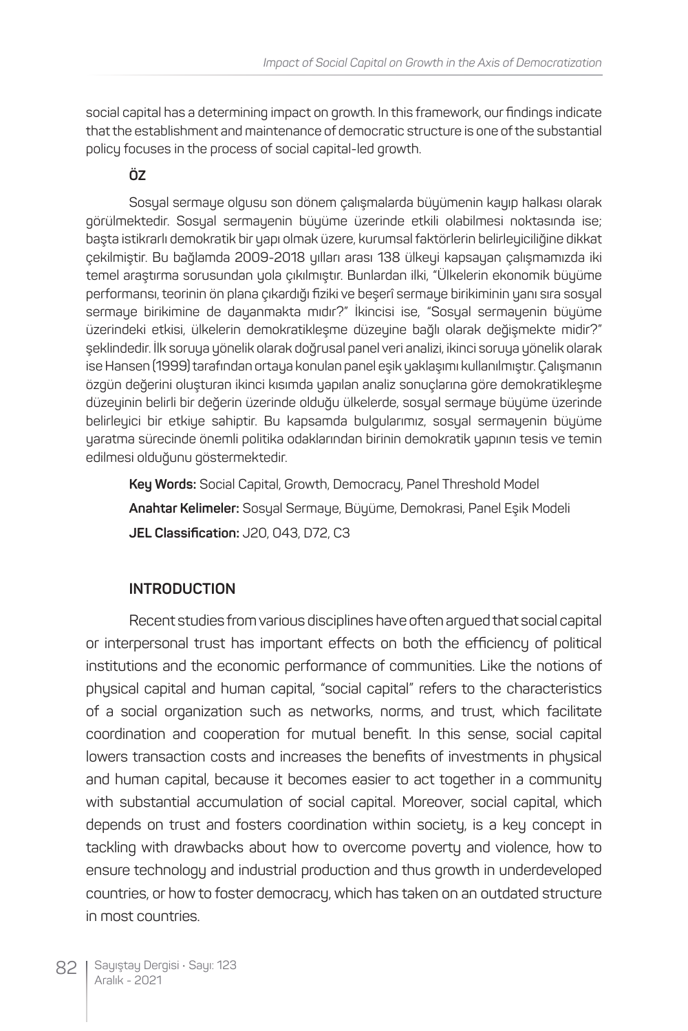social capital has a determining impact on growth. In this framework, our findings indicate that the establishment and maintenance of democratic structure is one of the substantial policy focuses in the process of social capital-led growth.

#### **ÖZ**

Sosyal sermaye olgusu son dönem çalışmalarda büyümenin kayıp halkası olarak görülmektedir. Sosyal sermayenin büyüme üzerinde etkili olabilmesi noktasında ise; başta istikrarlı demokratik bir yapı olmak üzere, kurumsal faktörlerin belirleyiciliğine dikkat çekilmiştir. Bu bağlamda 2009-2018 yılları arası 138 ülkeyi kapsayan çalışmamızda iki temel araştırma sorusundan yola çıkılmıştır. Bunlardan ilki, "Ülkelerin ekonomik büyüme performansı, teorinin ön plana çıkardığı fiziki ve beşerî sermaye birikiminin yanı sıra sosyal sermaye birikimine de dayanmakta mıdır?" İkincisi ise, "Sosyal sermayenin büyüme üzerindeki etkisi, ülkelerin demokratikleşme düzeyine bağlı olarak değişmekte midir?" şeklindedir. İlk soruya yönelik olarak doğrusal panel veri analizi, ikinci soruya yönelik olarak ise Hansen (1999) tarafından ortaya konulan panel eşik yaklaşımı kullanılmıştır. Çalışmanın özgün değerini oluşturan ikinci kısımda yapılan analiz sonuçlarına göre demokratikleşme düzeyinin belirli bir değerin üzerinde olduğu ülkelerde, sosyal sermaye büyüme üzerinde belirleyici bir etkiye sahiptir. Bu kapsamda bulgularımız, sosyal sermayenin büyüme yaratma sürecinde önemli politika odaklarından birinin demokratik yapının tesis ve temin edilmesi olduğunu göstermektedir.

**Key Words:** Social Capital, Growth, Democracy, Panel Threshold Model **Anahtar Kelimeler:** Sosyal Sermaye, Büyüme, Demokrasi, Panel Eşik Modeli **JEL Classification:** J20, O43, D72, C3

#### **INTRODUCTION**

Recent studies from various disciplines have often argued that social capital or interpersonal trust has important effects on both the efficiency of political institutions and the economic performance of communities. Like the notions of physical capital and human capital, "social capital" refers to the characteristics of a social organization such as networks, norms, and trust, which facilitate coordination and cooperation for mutual benefit. In this sense, social capital lowers transaction costs and increases the benefits of investments in physical and human capital, because it becomes easier to act together in a community with substantial accumulation of social capital. Moreover, social capital, which depends on trust and fosters coordination within society, is a key concept in tackling with drawbacks about how to overcome poverty and violence, how to ensure technology and industrial production and thus growth in underdeveloped countries, or how to foster democracy, which has taken on an outdated structure in most countries.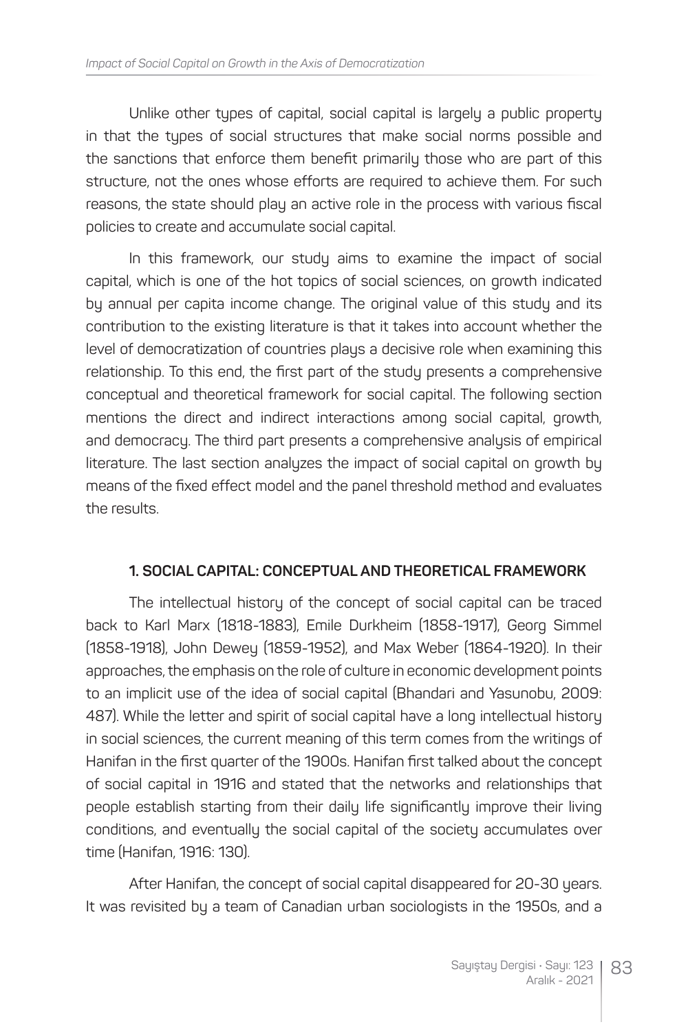Unlike other tupes of capital, social capital is largely a public property in that the types of social structures that make social norms possible and the sanctions that enforce them benefit primarily those who are part of this structure, not the ones whose efforts are required to achieve them. For such reasons, the state should play an active role in the process with various fiscal policies to create and accumulate social capital.

In this framework, our study aims to examine the impact of social capital, which is one of the hot topics of social sciences, on growth indicated by annual per capita income change. The original value of this study and its contribution to the existing literature is that it takes into account whether the level of democratization of countries plays a decisive role when examining this relationship. To this end, the first part of the study presents a comprehensive conceptual and theoretical framework for social capital. The following section mentions the direct and indirect interactions among social capital, growth, and democracy. The third part presents a comprehensive analysis of empirical literature. The last section analyzes the impact of social capital on growth by means of the fixed effect model and the panel threshold method and evaluates the results.

#### **1. SOCIAL CAPITAL: CONCEPTUAL AND THEORETICAL FRAMEWORK**

The intellectual history of the concept of social capital can be traced back to Karl Marx (1818-1883), Emile Durkheim (1858-1917), Georg Simmel (1858-1918), John Dewey (1859-1952), and Max Weber (1864-1920). In their approaches, the emphasis on the role of culture in economic development points to an implicit use of the idea of social capital (Bhandari and Yasunobu, 2009: 487). While the letter and spirit of social capital have a long intellectual history in social sciences, the current meaning of this term comes from the writings of Hanifan in the first quarter of the 1900s. Hanifan first talked about the concept of social capital in 1916 and stated that the networks and relationships that people establish starting from their daily life significantly improve their living conditions, and eventually the social capital of the society accumulates over time (Hanifan, 1916: 130).

After Hanifan, the concept of social capital disappeared for 20-30 years. It was revisited by a team of Canadian urban sociologists in the 1950s, and a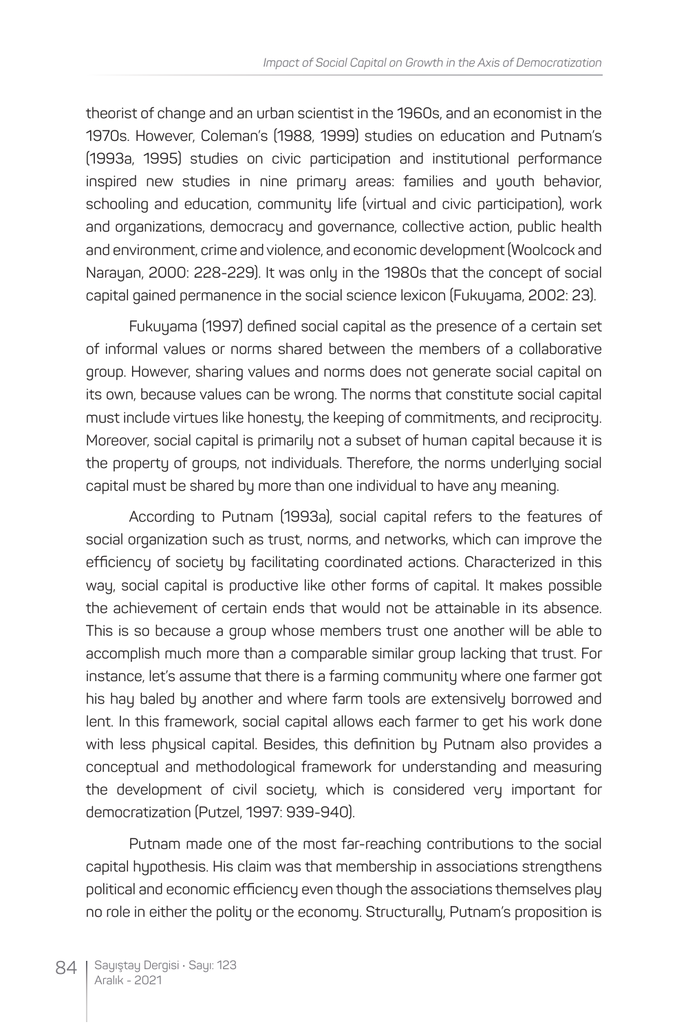theorist of change and an urban scientist in the 1960s, and an economist in the 1970s. However, Coleman's (1988, 1999) studies on education and Putnam's (1993a, 1995) studies on civic participation and institutional performance inspired new studies in nine primary areas: families and youth behavior, schooling and education, community life (virtual and civic participation), work and organizations, democracy and governance, collective action, public health and environment, crime and violence, and economic development (Woolcock and Narayan, 2000: 228-229). It was only in the 1980s that the concept of social capital gained permanence in the social science lexicon (Fukuyama, 2002: 23).

Fukuyama (1997) defined social capital as the presence of a certain set of informal values or norms shared between the members of a collaborative group. However, sharing values and norms does not generate social capital on its own, because values can be wrong. The norms that constitute social capital must include virtues like honesty, the keeping of commitments, and reciprocity. Moreover, social capital is primarily not a subset of human capital because it is the property of groups, not individuals. Therefore, the norms underlying social capital must be shared by more than one individual to have any meaning.

According to Putnam (1993a), social capital refers to the features of social organization such as trust, norms, and networks, which can improve the efficiency of society by facilitating coordinated actions. Characterized in this way, social capital is productive like other forms of capital. It makes possible the achievement of certain ends that would not be attainable in its absence. This is so because a group whose members trust one another will be able to accomplish much more than a comparable similar group lacking that trust. For instance, let's assume that there is a farming community where one farmer got his hay baled by another and where farm tools are extensively borrowed and lent. In this framework, social capital allows each farmer to get his work done with less physical capital. Besides, this definition by Putnam also provides a conceptual and methodological framework for understanding and measuring the development of civil society, which is considered very important for democratization (Putzel, 1997: 939-940).

Putnam made one of the most far-reaching contributions to the social capital hypothesis. His claim was that membership in associations strengthens political and economic efficiency even though the associations themselves play no role in either the polity or the economy. Structurally, Putnam's proposition is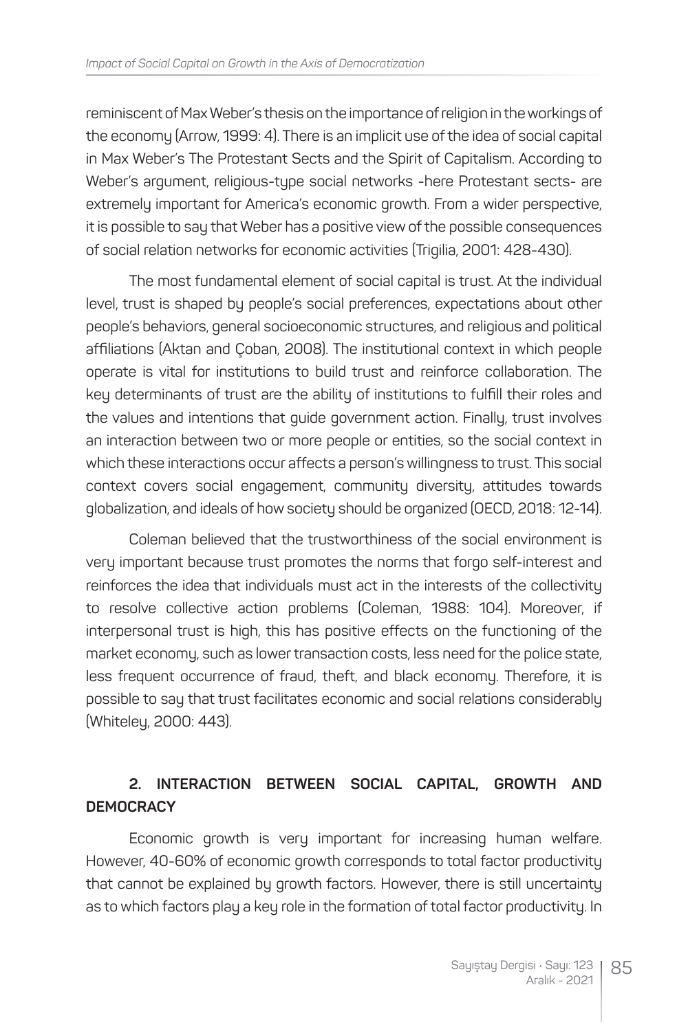reminiscent of Max Weber's thesis on the importance of religion in the workings of the economy (Arrow, 1999: 4). There is an implicit use of the idea of social capital in Max Weber's The Protestant Sects and the Spirit of Capitalism. According to Weber's argument, religious-type social networks -here Protestant sects- are extremely important for America's economic growth. From a wider perspective, it is possible to say that Weber has a positive view of the possible consequences of social relation networks for economic activities (Trigilia, 2001: 428-430).

The most fundamental element of social capital is trust. At the individual level, trust is shaped by people's social preferences, expectations about other people's behaviors, general socioeconomic structures, and religious and political affiliations (Aktan and Çoban, 2008). The institutional context in which people operate is vital for institutions to build trust and reinforce collaboration. The key determinants of trust are the ability of institutions to fulfill their roles and the values and intentions that guide government action. Finally, trust involves an interaction between two or more people or entities, so the social context in which these interactions occur affects a person's willingness to trust. This social context covers social engagement, community diversity, attitudes towards globalization, and ideals of how society should be organized (OECD, 2018: 12-14).

Coleman believed that the trustworthiness of the social environment is very important because trust promotes the norms that forgo self-interest and reinforces the idea that individuals must act in the interests of the collectivity to resolve collective action problems (Coleman, 1988: 104). Moreover, if interpersonal trust is high, this has positive effects on the functioning of the market economy, such as lower transaction costs, less need for the police state, less frequent occurrence of fraud, theft, and black economy. Therefore, it is possible to say that trust facilitates economic and social relations considerably (Whiteley, 2000: 443).

## **2. INTERACTION BETWEEN SOCIAL CAPITAL, GROWTH AND DEMOCRACY**

Economic growth is very important for increasing human welfare. However, 40-60% of economic growth corresponds to total factor productivity that cannot be explained by growth factors. However, there is still uncertainty as to which factors play a key role in the formation of total factor productivity. In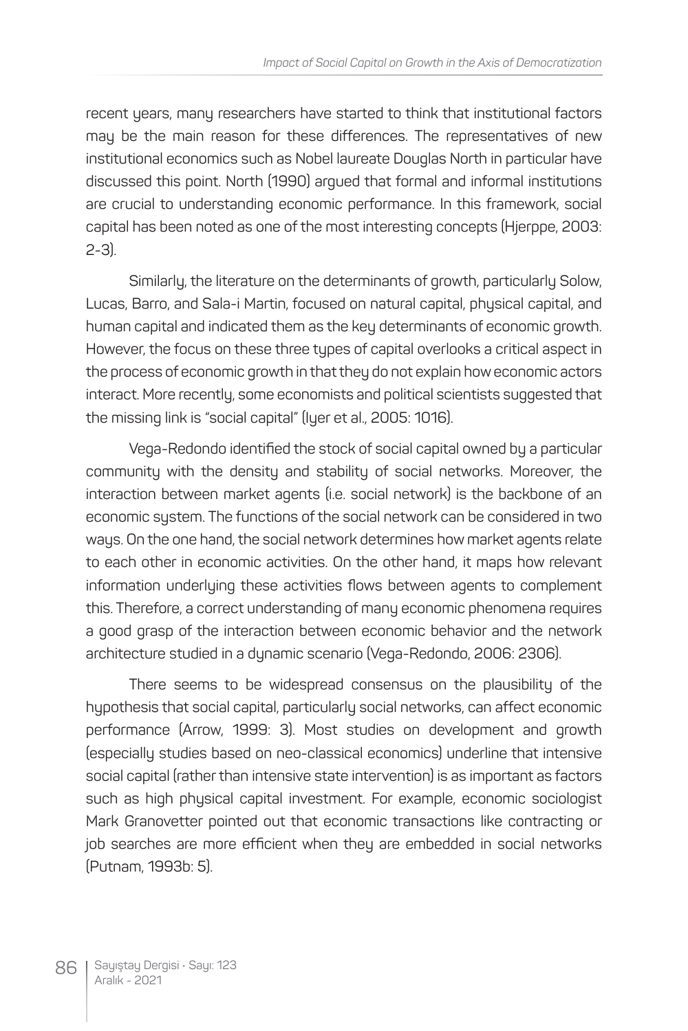recent years, many researchers have started to think that institutional factors may be the main reason for these differences. The representatives of new institutional economics such as Nobel laureate Douglas North in particular have discussed this point. North (1990) argued that formal and informal institutions are crucial to understanding economic performance. In this framework, social capital has been noted as one of the most interesting concepts (Hjerppe, 2003: 2-3).

Similarly, the literature on the determinants of growth, particularly Solow, Lucas, Barro, and Sala-i Martin, focused on natural capital, physical capital, and human capital and indicated them as the key determinants of economic growth. However, the focus on these three types of capital overlooks a critical aspect in the process of economic growth in that they do not explain how economic actors interact. More recently, some economists and political scientists suggested that the missing link is "social capital" (Iyer et al., 2005: 1016).

Vega-Redondo identified the stock of social capital owned by a particular community with the density and stability of social networks. Moreover, the interaction between market agents (i.e. social network) is the backbone of an economic system. The functions of the social network can be considered in two ways. On the one hand, the social network determines how market agents relate to each other in economic activities. On the other hand, it maps how relevant information underlying these activities flows between agents to complement this. Therefore, a correct understanding of many economic phenomena requires a good grasp of the interaction between economic behavior and the network architecture studied in a dynamic scenario (Vega-Redondo, 2006: 2306).

There seems to be widespread consensus on the plausibility of the hypothesis that social capital, particularly social networks, can affect economic performance (Arrow, 1999: 3). Most studies on development and growth (especially studies based on neo-classical economics) underline that intensive social capital (rather than intensive state intervention) is as important as factors such as high physical capital investment. For example, economic sociologist Mark Granovetter pointed out that economic transactions like contracting or job searches are more efficient when they are embedded in social networks (Putnam, 1993b: 5).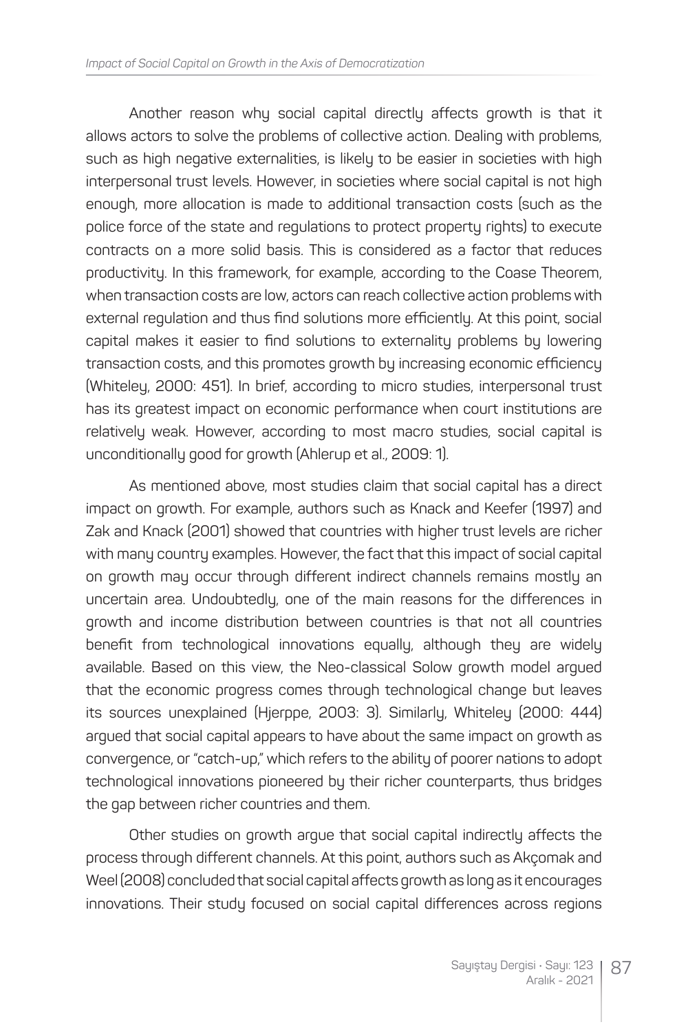Another reason whu social capital directlu affects growth is that it allows actors to solve the problems of collective action. Dealing with problems, such as high negative externalities, is likely to be easier in societies with high interpersonal trust levels. However, in societies where social capital is not high enough, more allocation is made to additional transaction costs (such as the police force of the state and regulations to protect property rights) to execute contracts on a more solid basis. This is considered as a factor that reduces productivity. In this framework, for example, according to the Coase Theorem, when transaction costs are low, actors can reach collective action problems with external regulation and thus find solutions more efficiently. At this point, social capital makes it easier to find solutions to externality problems by lowering transaction costs, and this promotes growth by increasing economic efficiency (Whiteley, 2000: 451). In brief, according to micro studies, interpersonal trust has its greatest impact on economic performance when court institutions are relatively weak. However, according to most macro studies, social capital is unconditionally good for growth (Ahlerup et al., 2009: 1).

As mentioned above, most studies claim that social capital has a direct impact on growth. For example, authors such as Knack and Keefer (1997) and Zak and Knack (2001) showed that countries with higher trust levels are richer with many country examples. However, the fact that this impact of social capital on growth may occur through different indirect channels remains mostly an uncertain area. Undoubtedly, one of the main reasons for the differences in growth and income distribution between countries is that not all countries benefit from technological innovations equally, although they are widely available. Based on this view, the Neo-classical Solow growth model argued that the economic progress comes through technological change but leaves its sources unexplained (Hjerppe, 2003: 3). Similarly, Whiteley (2000: 444) argued that social capital appears to have about the same impact on growth as convergence, or "catch-up," which refers to the ability of poorer nations to adopt technological innovations pioneered by their richer counterparts, thus bridges the gap between richer countries and them.

Other studies on growth argue that social capital indirectly affects the process through different channels. At this point, authors such as Akçomak and Weel (2008) concluded that social capital affects growth as long as it encourages innovations. Their study focused on social capital differences across regions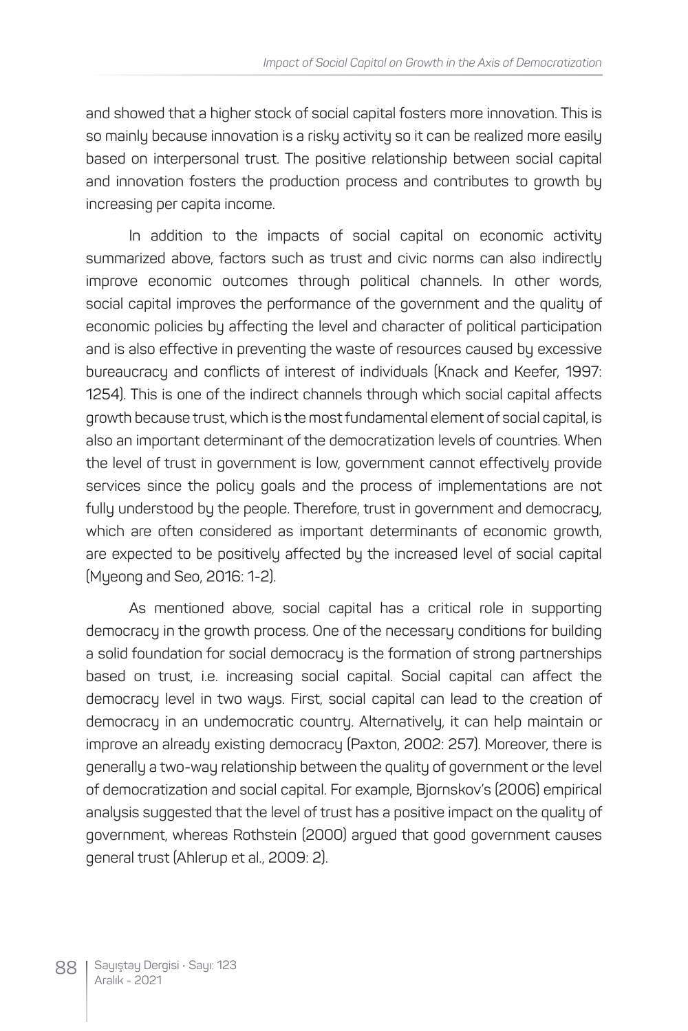and showed that a higher stock of social capital fosters more innovation. This is so mainly because innovation is a risky activity so it can be realized more easily based on interpersonal trust. The positive relationship between social capital and innovation fosters the production process and contributes to growth by increasing per capita income.

In addition to the impacts of social capital on economic activity summarized above, factors such as trust and civic norms can also indirectly improve economic outcomes through political channels. In other words, social capital improves the performance of the government and the quality of economic policies by affecting the level and character of political participation and is also effective in preventing the waste of resources caused by excessive bureaucracy and conflicts of interest of individuals (Knack and Keefer, 1997: 1254). This is one of the indirect channels through which social capital affects growth because trust, which is the most fundamental element of social capital, is also an important determinant of the democratization levels of countries. When the level of trust in government is low, government cannot effectively provide services since the policy goals and the process of implementations are not fully understood by the people. Therefore, trust in government and democracy, which are often considered as important determinants of economic growth, are expected to be positively affected by the increased level of social capital (Myeong and Seo, 2016: 1-2).

As mentioned above, social capital has a critical role in supporting democracy in the growth process. One of the necessary conditions for building a solid foundation for social democracy is the formation of strong partnerships based on trust, i.e. increasing social capital. Social capital can affect the democracy level in two ways. First, social capital can lead to the creation of democracy in an undemocratic country. Alternatively, it can help maintain or improve an already existing democracy (Paxton, 2002: 257). Moreover, there is generally a two-way relationship between the quality of government or the level of democratization and social capital. For example, Bjornskov's (2006) empirical analysis suggested that the level of trust has a positive impact on the quality of government, whereas Rothstein (2000) argued that good government causes general trust (Ahlerup et al., 2009: 2).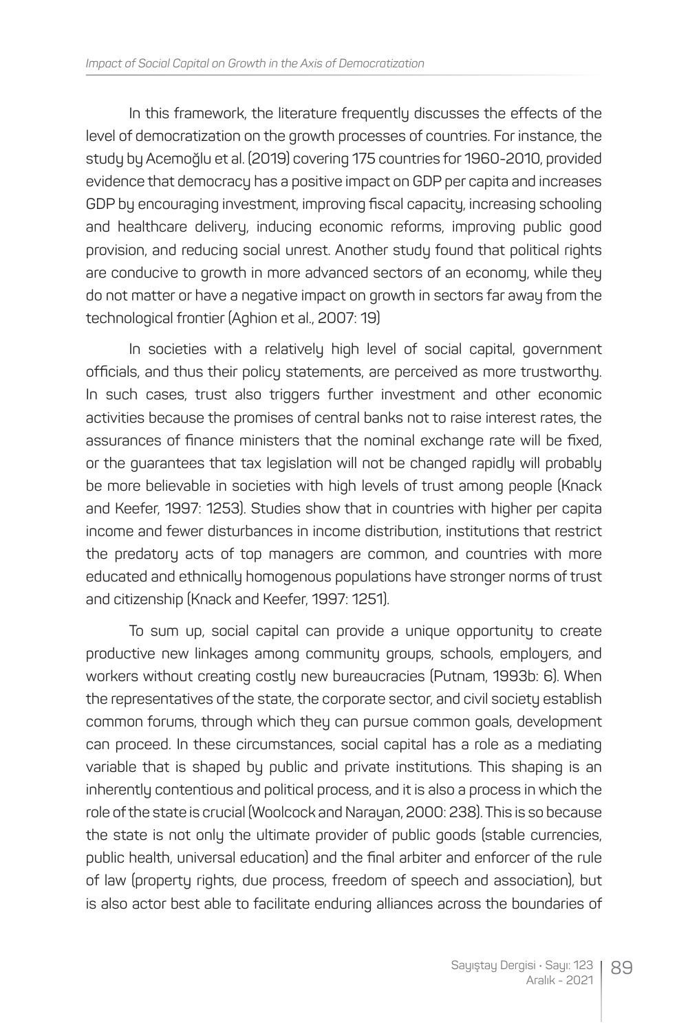In this framework, the literature frequently discusses the effects of the level of democratization on the growth processes of countries. For instance, the study by Acemoğlu et al. (2019) covering 175 countries for 1960-2010, provided evidence that democracy has a positive impact on GDP per capita and increases GDP by encouraging investment, improving fiscal capacity, increasing schooling and healthcare delivery, inducing economic reforms, improving public good provision, and reducing social unrest. Another study found that political rights are conducive to growth in more advanced sectors of an economy, while they do not matter or have a negative impact on growth in sectors far away from the technological frontier (Aghion et al., 2007: 19)

In societies with a relatively high level of social capital, government officials, and thus their policy statements, are perceived as more trustworthy. In such cases, trust also triggers further investment and other economic activities because the promises of central banks not to raise interest rates, the assurances of finance ministers that the nominal exchange rate will be fixed, or the guarantees that tax legislation will not be changed rapidly will probably be more believable in societies with high levels of trust among people (Knack and Keefer, 1997: 1253). Studies show that in countries with higher per capita income and fewer disturbances in income distribution, institutions that restrict the predatory acts of top managers are common, and countries with more educated and ethnically homogenous populations have stronger norms of trust and citizenship (Knack and Keefer, 1997: 1251).

To sum up, social capital can provide a unique opportunity to create productive new linkages among community groups, schools, employers, and workers without creating costly new bureaucracies (Putnam, 1993b: 6). When the representatives of the state, the corporate sector, and civil society establish common forums, through which they can pursue common goals, development can proceed. In these circumstances, social capital has a role as a mediating variable that is shaped by public and private institutions. This shaping is an inherently contentious and political process, and it is also a process in which the role of the state is crucial (Woolcock and Narayan, 2000: 238). This is so because the state is not only the ultimate provider of public goods (stable currencies, public health, universal education) and the final arbiter and enforcer of the rule of law (property rights, due process, freedom of speech and association), but is also actor best able to facilitate enduring alliances across the boundaries of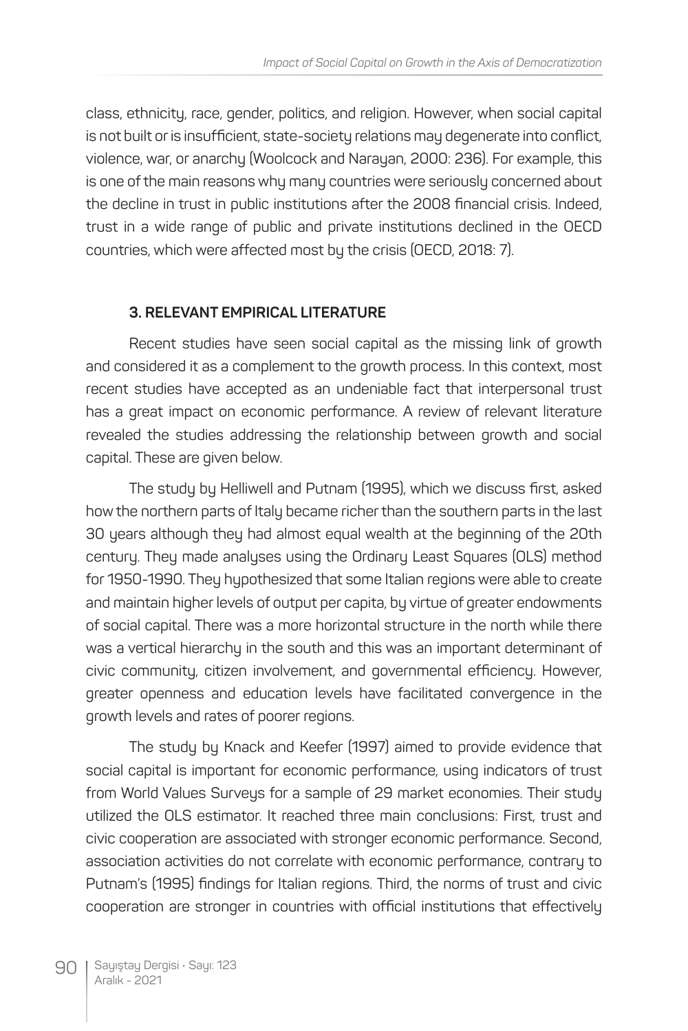class, ethnicity, race, gender, politics, and religion. However, when social capital is not built or is insufficient, state-society relations may degenerate into conflict, violence, war, or anarchy (Woolcock and Narayan, 2000: 236). For example, this is one of the main reasons why many countries were seriously concerned about the decline in trust in public institutions after the 2008 financial crisis. Indeed, trust in a wide range of public and private institutions declined in the OECD countries, which were affected most by the crisis (OECD, 2018: 7).

#### **3. RELEVANT EMPIRICAL LITERATURE**

Recent studies have seen social capital as the missing link of growth and considered it as a complement to the growth process. In this context, most recent studies have accepted as an undeniable fact that interpersonal trust has a great impact on economic performance. A review of relevant literature revealed the studies addressing the relationship between growth and social capital. These are given below.

The study by Helliwell and Putnam (1995), which we discuss first, asked how the northern parts of Italy became richer than the southern parts in the last 30 years although they had almost equal wealth at the beginning of the 20th century. They made analyses using the Ordinary Least Squares (OLS) method for 1950-1990. They hypothesized that some Italian regions were able to create and maintain higher levels of output per capita, by virtue of greater endowments of social capital. There was a more horizontal structure in the north while there was a vertical hierarchy in the south and this was an important determinant of civic community, citizen involvement, and governmental efficiency. However, greater openness and education levels have facilitated convergence in the growth levels and rates of poorer regions.

The study by Knack and Keefer (1997) aimed to provide evidence that social capital is important for economic performance, using indicators of trust from World Values Surveys for a sample of 29 market economies. Their study utilized the OLS estimator. It reached three main conclusions: First, trust and civic cooperation are associated with stronger economic performance. Second, association activities do not correlate with economic performance, contrary to Putnam's (1995) findings for Italian regions. Third, the norms of trust and civic cooperation are stronger in countries with official institutions that effectively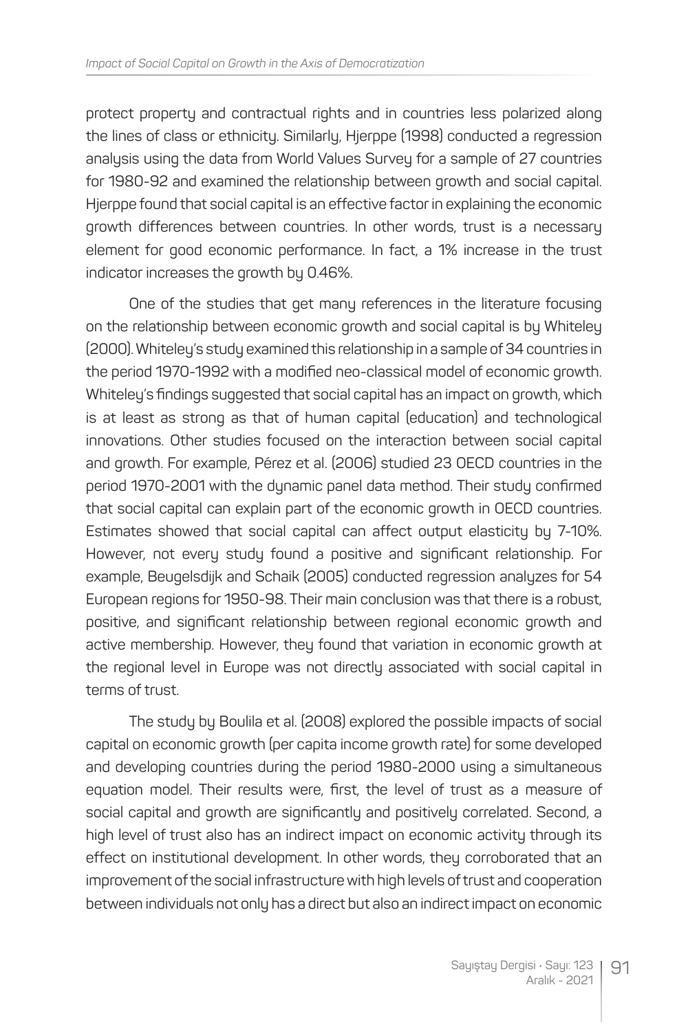protect property and contractual rights and in countries less polarized along the lines of class or ethnicity. Similarly, Hjerppe (1998) conducted a regression analysis using the data from World Values Survey for a sample of 27 countries for 1980-92 and examined the relationship between growth and social capital. Hjerppe found that social capital is an effective factor in explaining the economic growth differences between countries. In other words, trust is a necessary element for good economic performance. In fact, a 1% increase in the trust indicator increases the growth by 0.46%.

One of the studies that get many references in the literature focusing on the relationship between economic growth and social capital is by Whiteley (2000). Whiteley's study examined this relationship in a sample of 34 countries in the period 1970-1992 with a modified neo-classical model of economic growth. Whiteley's findings suggested that social capital has an impact on growth, which is at least as strong as that of human capital (education) and technological innovations. Other studies focused on the interaction between social capital and growth. For example, Pérez et al. (2006) studied 23 OECD countries in the period 1970-2001 with the dynamic panel data method. Their study confirmed that social capital can explain part of the economic growth in OECD countries. Estimates showed that social capital can affect output elasticity by 7-10%. However, not every study found a positive and significant relationship. For example, Beugelsdijk and Schaik (2005) conducted regression analyzes for 54 European regions for 1950-98. Their main conclusion was that there is a robust, positive, and significant relationship between regional economic growth and active membership. However, they found that variation in economic growth at the regional level in Europe was not directly associated with social capital in terms of trust.

The study by Boulila et al. (2008) explored the possible impacts of social capital on economic growth (per capita income growth rate) for some developed and developing countries during the period 1980-2000 using a simultaneous equation model. Their results were, first, the level of trust as a measure of social capital and growth are significantly and positively correlated. Second, a high level of trust also has an indirect impact on economic activity through its effect on institutional development. In other words, they corroborated that an improvement of the social infrastructure with high levels of trust and cooperation between individuals not only has a direct but also an indirect impact on economic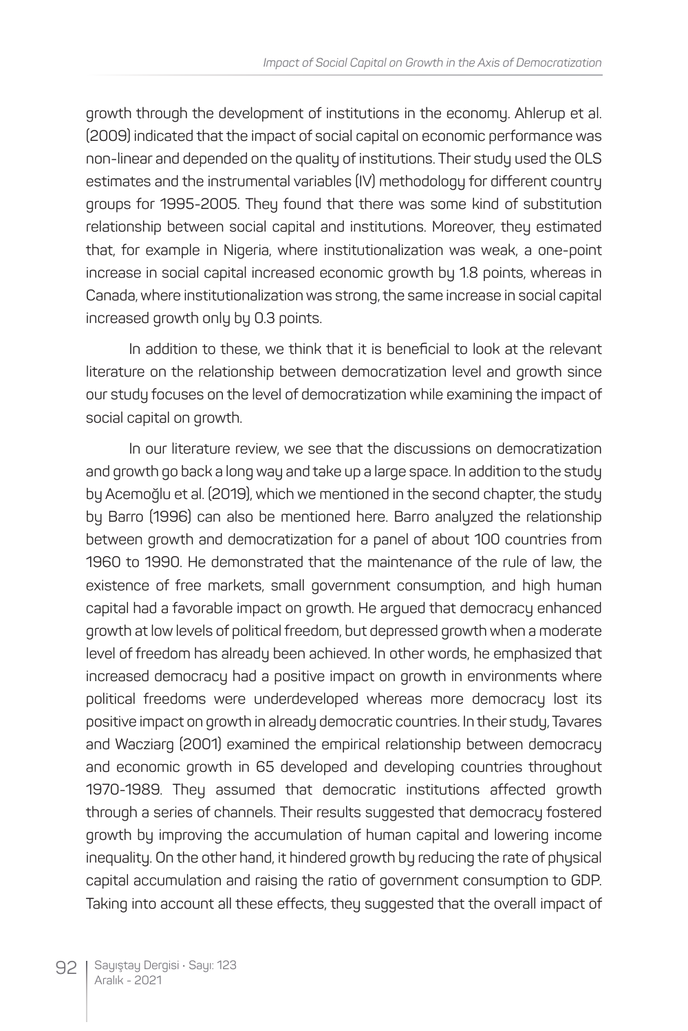growth through the development of institutions in the economy. Ahlerup et al. (2009) indicated that the impact of social capital on economic performance was non-linear and depended on the quality of institutions. Their study used the OLS estimates and the instrumental variables (IV) methodology for different country groups for 1995-2005. They found that there was some kind of substitution relationship between social capital and institutions. Moreover, they estimated that, for example in Nigeria, where institutionalization was weak, a one-point increase in social capital increased economic growth by 1.8 points, whereas in Canada, where institutionalization was strong, the same increase in social capital increased growth only by 0.3 points.

In addition to these, we think that it is beneficial to look at the relevant literature on the relationship between democratization level and growth since our study focuses on the level of democratization while examining the impact of social capital on growth.

In our literature review, we see that the discussions on democratization and growth go back a long way and take up a large space. In addition to the study by Acemoğlu et al. (2019), which we mentioned in the second chapter, the study by Barro (1996) can also be mentioned here. Barro analyzed the relationship between growth and democratization for a panel of about 100 countries from 1960 to 1990. He demonstrated that the maintenance of the rule of law, the existence of free markets, small government consumption, and high human capital had a favorable impact on growth. He argued that democracy enhanced growth at low levels of political freedom, but depressed growth when a moderate level of freedom has already been achieved. In other words, he emphasized that increased democracy had a positive impact on growth in environments where political freedoms were underdeveloped whereas more democracy lost its positive impact on growth in already democratic countries. In their study, Tavares and Wacziarg (2001) examined the empirical relationship between democracy and economic growth in 65 developed and developing countries throughout 1970-1989. They assumed that democratic institutions affected growth through a series of channels. Their results suggested that democracy fostered growth by improving the accumulation of human capital and lowering income inequality. On the other hand, it hindered growth by reducing the rate of physical capital accumulation and raising the ratio of government consumption to GDP. Taking into account all these effects, they suggested that the overall impact of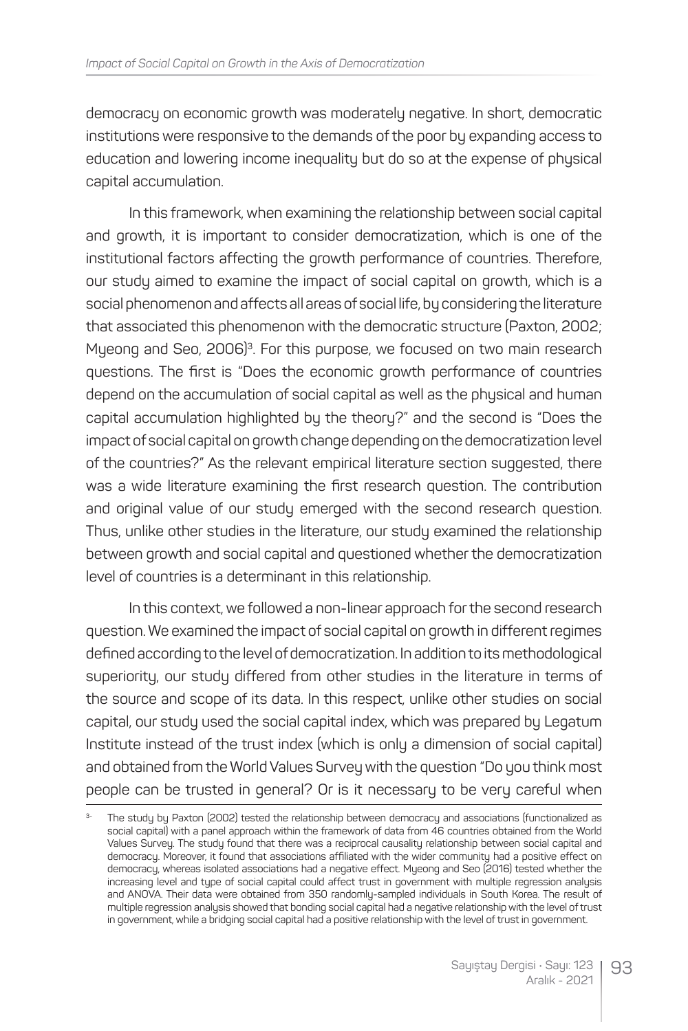democracy on economic growth was moderately negative. In short, democratic institutions were responsive to the demands of the poor by expanding access to education and lowering income inequality but do so at the expense of physical capital accumulation.

In this framework, when examining the relationship between social capital and growth, it is important to consider democratization, which is one of the institutional factors affecting the growth performance of countries. Therefore, our study aimed to examine the impact of social capital on growth, which is a social phenomenon and affects all areas of social life, by considering the literature that associated this phenomenon with the democratic structure (Paxton, 2002; Myeong and Seo, 2006)<sup>3</sup>. For this purpose, we focused on two main research questions. The first is "Does the economic growth performance of countries depend on the accumulation of social capital as well as the physical and human capital accumulation highlighted by the theory?" and the second is "Does the impact of social capital on growth change depending on the democratization level of the countries?" As the relevant empirical literature section suggested, there was a wide literature examining the first research question. The contribution and original value of our study emerged with the second research question. Thus, unlike other studies in the literature, our study examined the relationship between growth and social capital and questioned whether the democratization level of countries is a determinant in this relationship.

In this context, we followed a non-linear approach for the second research question. We examined the impact of social capital on growth in different regimes defined according to the level of democratization. In addition to its methodological superiority, our study differed from other studies in the literature in terms of the source and scope of its data. In this respect, unlike other studies on social capital, our study used the social capital index, which was prepared by Legatum Institute instead of the trust index (which is only a dimension of social capital) and obtained from the World Values Survey with the question "Do you think most people can be trusted in general? Or is it necessary to be very careful when

The study by Paxton (2002) tested the relationship between democracy and associations (functionalized as social capital) with a panel approach within the framework of data from 46 countries obtained from the World Values Survey. The study found that there was a reciprocal causality relationship between social capital and democracy. Moreover, it found that associations affiliated with the wider community had a positive effect on democracy, whereas isolated associations had a negative effect. Myeong and Seo (2016) tested whether the increasing level and type of social capital could affect trust in government with multiple regression analysis and ANOVA. Their data were obtained from 350 randomly-sampled individuals in South Korea. The result of multiple regression analysis showed that bonding social capital had a negative relationship with the level of trust in government, while a bridging social capital had a positive relationship with the level of trust in government.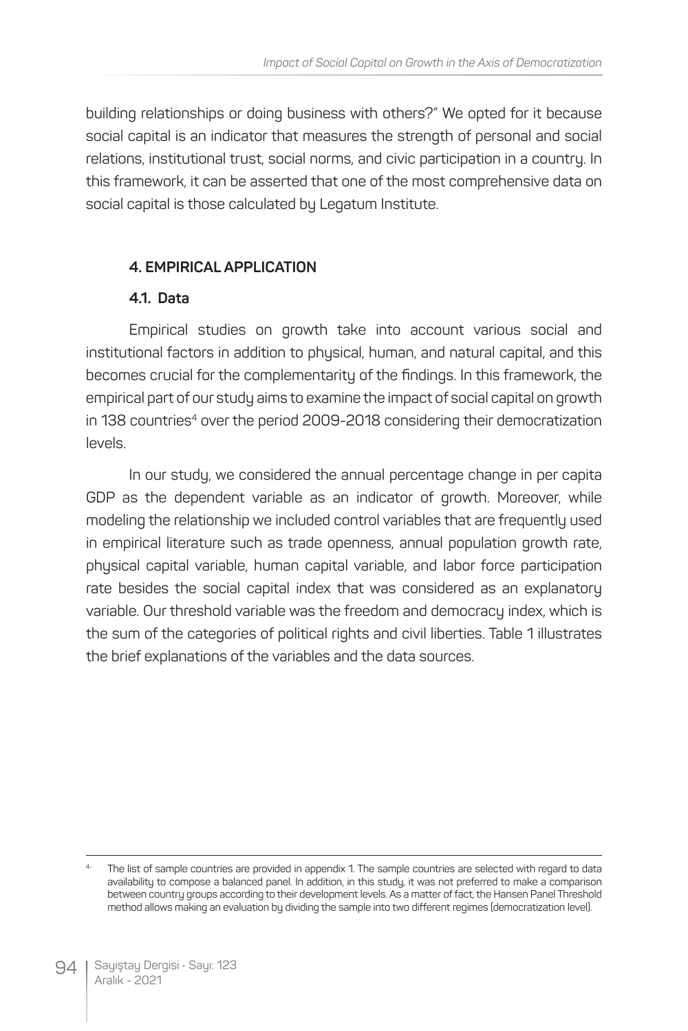building relationships or doing business with others?" We opted for it because social capital is an indicator that measures the strength of personal and social relations, institutional trust, social norms, and civic participation in a country. In this framework, it can be asserted that one of the most comprehensive data on social capital is those calculated by Legatum Institute.

### **4. EMPIRICAL APPLICATION**

#### **4.1. Data**

Empirical studies on growth take into account various social and institutional factors in addition to physical, human, and natural capital, and this becomes crucial for the complementarity of the findings. In this framework, the empirical part of our study aims to examine the impact of social capital on growth in 138 countries<sup>4</sup> over the period 2009-2018 considering their democratization levels.

In our study, we considered the annual percentage change in per capita GDP as the dependent variable as an indicator of growth. Moreover, while modeling the relationship we included control variables that are frequently used in empirical literature such as trade openness, annual population growth rate, physical capital variable, human capital variable, and labor force participation rate besides the social capital index that was considered as an explanatory variable. Our threshold variable was the freedom and democracy index, which is the sum of the categories of political rights and civil liberties. Table 1 illustrates the brief explanations of the variables and the data sources.

The list of sample countries are provided in appendix 1. The sample countries are selected with regard to data availability to compose a balanced panel. In addition, in this study, it was not preferred to make a comparison between country groups according to their development levels. As a matter of fact, the Hansen Panel Threshold method allows making an evaluation by dividing the sample into two different regimes (democratization level).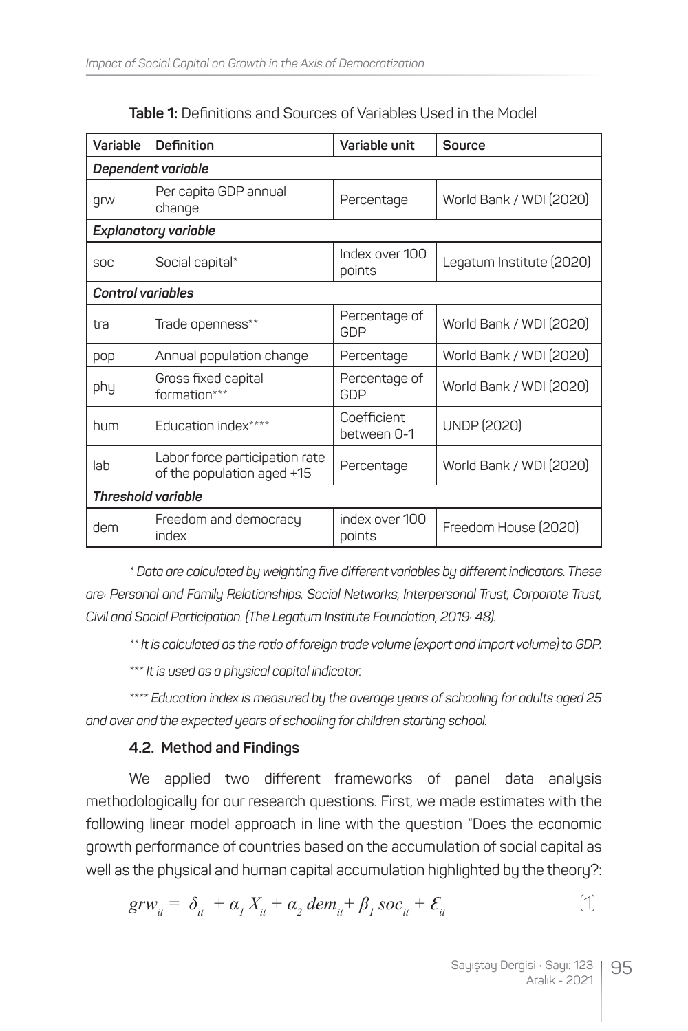| Variable                    | Definition                                                   | Variable unit              | <b>Source</b>            |  |  |  |
|-----------------------------|--------------------------------------------------------------|----------------------------|--------------------------|--|--|--|
| Dependent variable          |                                                              |                            |                          |  |  |  |
| grw                         | Per capita GDP annual<br>change                              | Percentage                 | World Bank / WDI (2020)  |  |  |  |
| <b>Explanatory variable</b> |                                                              |                            |                          |  |  |  |
| <b>SOC</b>                  | Social capital*                                              | Index over 100<br>points   | Legatum Institute (2020) |  |  |  |
| <b>Control variables</b>    |                                                              |                            |                          |  |  |  |
| tra                         | Trade openness**                                             | Percentage of<br>GDP       | World Bank / WDI (2020)  |  |  |  |
| pop                         | Annual population change                                     | Percentage                 | World Bank / WDI (2020)  |  |  |  |
| phy                         | Gross fixed capital<br>formation***                          | Percentage of<br>GDP       | World Bank / WDI (2020)  |  |  |  |
| hum                         | Education index****                                          | Coefficient<br>between 0-1 | <b>UNDP (2020)</b>       |  |  |  |
| lab                         | Labor force participation rate<br>of the population aged +15 | Percentage                 | World Bank / WDI (2020)  |  |  |  |
| <b>Threshold variable</b>   |                                                              |                            |                          |  |  |  |
| dem                         | Freedom and democracy<br>index                               | index over 100<br>points   | Freedom House (2020)     |  |  |  |

**Table 1:** Definitions and Sources of Variables Used in the Model

*\* Data are calculated by weighting five different variables by different indicators. These are: Personal and Family Relationships, Social Networks, Interpersonal Trust, Corporate Trust, Civil and Social Participation. (The Legatum Institute Foundation, 2019: 48).*

*\*\* It is calculated as the ratio of foreign trade volume (export and import volume) to GDP.*

*\*\*\* It is used as a physical capital indicator.*

*\*\*\*\* Education index is measured by the average years of schooling for adults aged 25 and over and the expected years of schooling for children starting school.* 

#### **4.2. Method and Findings**

We applied two different frameworks of panel data analysis methodologically for our research questions. First, we made estimates with the following linear model approach in line with the question "Does the economic growth performance of countries based on the accumulation of social capital as well as the physical and human capital accumulation highlighted by the theory?:

$$
grw_{it} = \delta_{it} + \alpha_1 X_{it} + \alpha_2 \, dem_{it} + \beta_1 \, soc_{it} + \mathcal{E}_{it}
$$
 (1)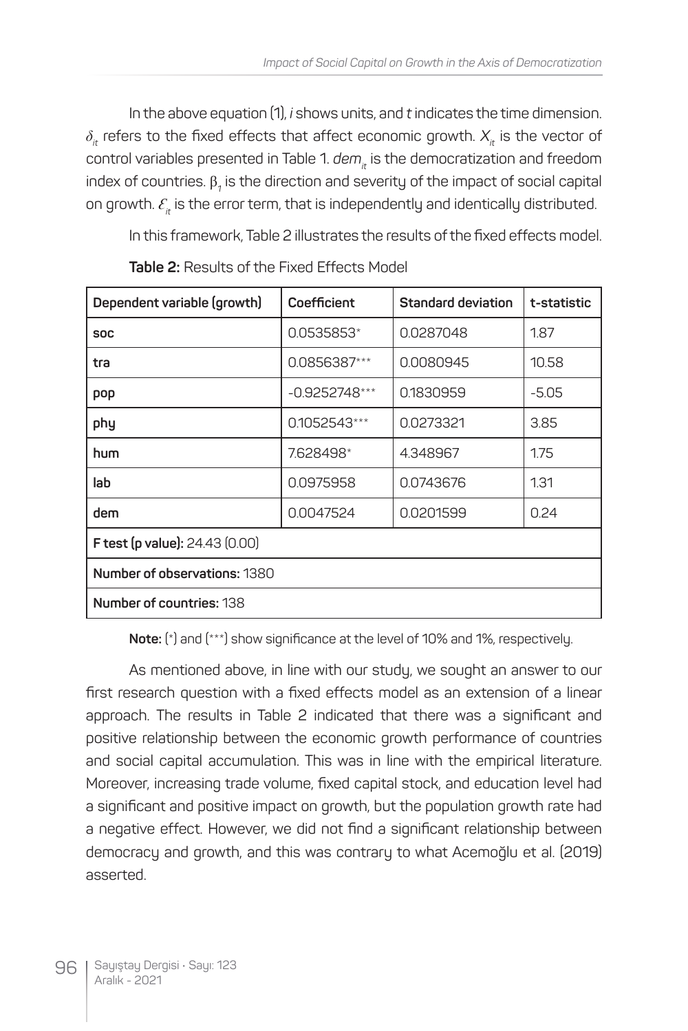In the above equation (1), *i* shows units, and *t* indicates the time dimension.  $\delta$ <sup>*i*</sup> refers to the fixed effects that affect economic growth.  $X$ <sup>*i*</sup> is the vector of control variables presented in Table 1. dem<sub>it</sub> is the democratization and freedom index of countries.  $\beta_{\text{\tiny\it 1}}$  is the direction and severity of the impact of social capital on growth.  $\mathcal{E}_n$  is the error term, that is independently and identically distributed.

In this framework, Table 2 illustrates the results of the fixed effects model.

| Dependent variable (growth)           | Coefficient     | Standard deviation | t-statistic |  |  |
|---------------------------------------|-----------------|--------------------|-------------|--|--|
| <b>SOC</b>                            | 0.0535853*      | 0.0287048          | 1.87        |  |  |
| tra                                   | 0.0856387***    | 0.0080945          | 10.58       |  |  |
| pop                                   | $-0.9252748***$ | 0.1830959          | $-5.05$     |  |  |
| phy                                   | 0.1052543***    | 0.0273321          | 3.85        |  |  |
| hum                                   | 7.628498*       | 4.348967           | 1.75        |  |  |
| lab                                   | 0.0975958       | 0.0743676          | 1.31        |  |  |
| dem                                   | 0.0047524       | 0.0201599          | 0.24        |  |  |
| <b>F test (p value):</b> 24.43 (0.00) |                 |                    |             |  |  |
| Number of observations: 1380          |                 |                    |             |  |  |
| Number of countries: 138              |                 |                    |             |  |  |

**Table 2:** Results of the Fixed Effects Model

**Note:** (\*) and (\*\*\*) show significance at the level of 10% and 1%, respectively.

As mentioned above, in line with our study, we sought an answer to our first research question with a fixed effects model as an extension of a linear approach. The results in Table 2 indicated that there was a significant and positive relationship between the economic growth performance of countries and social capital accumulation. This was in line with the empirical literature. Moreover, increasing trade volume, fixed capital stock, and education level had a significant and positive impact on growth, but the population growth rate had a negative effect. However, we did not find a significant relationship between democracy and growth, and this was contrary to what Acemoğlu et al. (2019) asserted.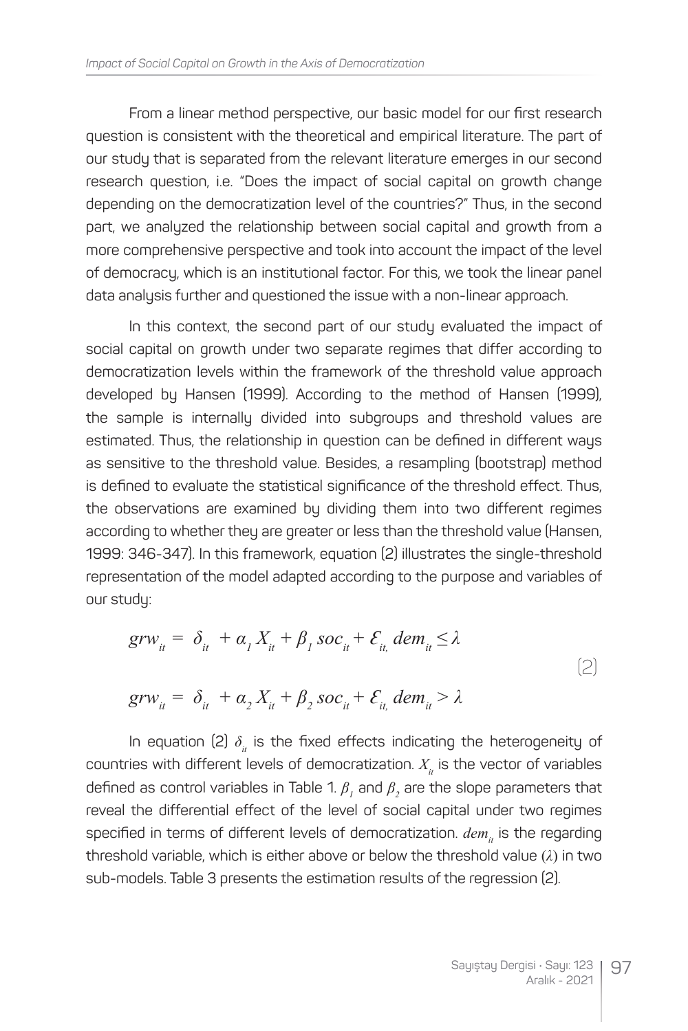From a linear method perspective, our basic model for our first research question is consistent with the theoretical and empirical literature. The part of our study that is separated from the relevant literature emerges in our second research question, i.e. "Does the impact of social capital on growth change depending on the democratization level of the countries?" Thus, in the second part, we analyzed the relationship between social capital and growth from a more comprehensive perspective and took into account the impact of the level of democracy, which is an institutional factor. For this, we took the linear panel data analysis further and questioned the issue with a non-linear approach.

In this context, the second part of our study evaluated the impact of social capital on growth under two separate regimes that differ according to democratization levels within the framework of the threshold value approach developed by Hansen (1999). According to the method of Hansen (1999), the sample is internally divided into subgroups and threshold values are estimated. Thus, the relationship in question can be defined in different ways as sensitive to the threshold value. Besides, a resampling (bootstrap) method is defined to evaluate the statistical significance of the threshold effect. Thus, the observations are examined by dividing them into two different regimes according to whether they are greater or less than the threshold value (Hansen, 1999: 346-347). In this framework, equation (2) illustrates the single-threshold representation of the model adapted according to the purpose and variables of our study:

$$
grw_{it} = \delta_{it} + \alpha_1 X_{it} + \beta_1 soc_{it} + \mathcal{E}_{it} dem_{it} \le \lambda
$$
  
\n
$$
grw_{it} = \delta_{it} + \alpha_2 X_{it} + \beta_2 soc_{it} + \mathcal{E}_{it} dem_{it} > \lambda
$$
\n(2)

In equation (2)  $\delta$ <sub>*it*</sub> is the fixed effects indicating the heterogeneity of countries with different levels of democratization.  $X_{i}$  is the vector of variables defined as control variables in Table 1.  $\beta_{_I}$  and  $\beta_{_2}$  are the slope parameters that reveal the differential effect of the level of social capital under two regimes specified in terms of different levels of democratization. *dem<sub>it</sub>* is the regarding threshold variable, which is either above or below the threshold value (*λ*) in two sub-models. Table 3 presents the estimation results of the regression (2).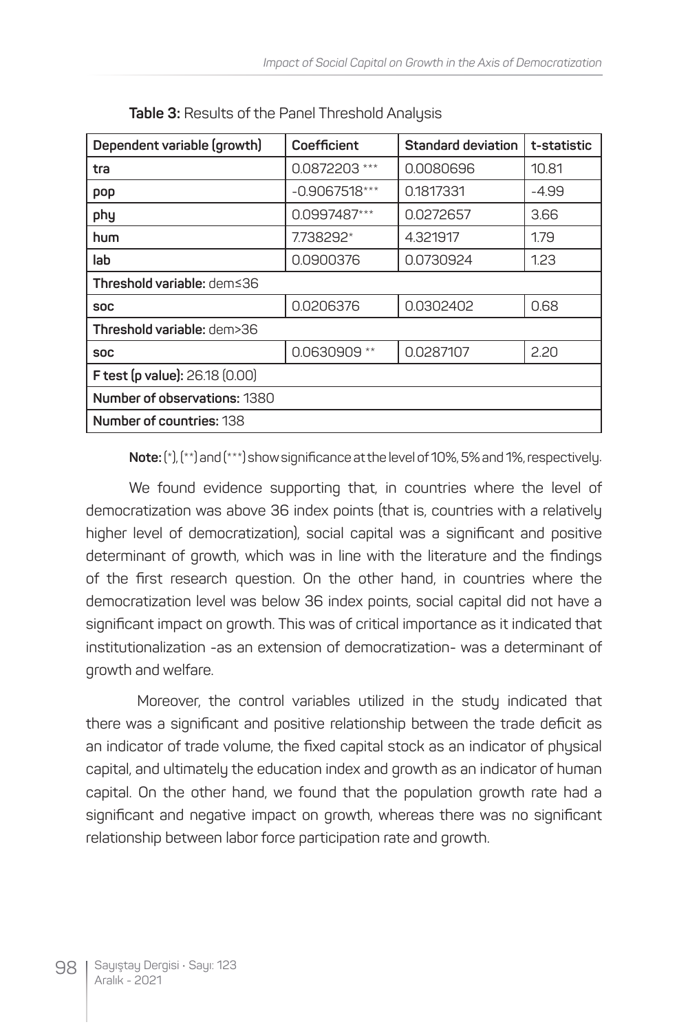| Dependent variable (growth)           | Coefficient     | Standard deviation | t-statistic |  |
|---------------------------------------|-----------------|--------------------|-------------|--|
| tra                                   | 0.0872203 ***   | 0.0080696          | 10.81       |  |
| pop                                   | $-0.9067518***$ | 0.1817331          | -4.99       |  |
| phy                                   | 0.0997487***    | 0.0272657          | 3.66        |  |
| hum                                   | 7.738292*       | 4.321917           | 1.79        |  |
| lab                                   | 0.0900376       | 0.0730924          | 1.23        |  |
| Threshold variable: dem≤36            |                 |                    |             |  |
| <b>SOC</b>                            | 0.0206376       | 0.0302402          | 0.68        |  |
| Threshold variable: dem>36            |                 |                    |             |  |
| <b>SOC</b>                            | 0.0630909 **    | 0.0287107          | 2.20        |  |
| <b>F test (p value): 26.18 (0.00)</b> |                 |                    |             |  |
| <b>Number of observations: 1380</b>   |                 |                    |             |  |
| <b>Number of countries: 138</b>       |                 |                    |             |  |

|  |  | Table 3: Results of the Panel Threshold Analysis |  |
|--|--|--------------------------------------------------|--|
|  |  |                                                  |  |

**Note:** (\*), (\*\*) and (\*\*\*) show significance at the level of 10%, 5% and 1%, respectively.

We found evidence supporting that, in countries where the level of democratization was above 36 index points (that is, countries with a relatively higher level of democratization), social capital was a significant and positive determinant of growth, which was in line with the literature and the findings of the first research question. On the other hand, in countries where the democratization level was below 36 index points, social capital did not have a significant impact on growth. This was of critical importance as it indicated that institutionalization -as an extension of democratization- was a determinant of growth and welfare.

 Moreover, the control variables utilized in the study indicated that there was a significant and positive relationship between the trade deficit as an indicator of trade volume, the fixed capital stock as an indicator of physical capital, and ultimately the education index and growth as an indicator of human capital. On the other hand, we found that the population growth rate had a significant and negative impact on growth, whereas there was no significant relationship between labor force participation rate and growth.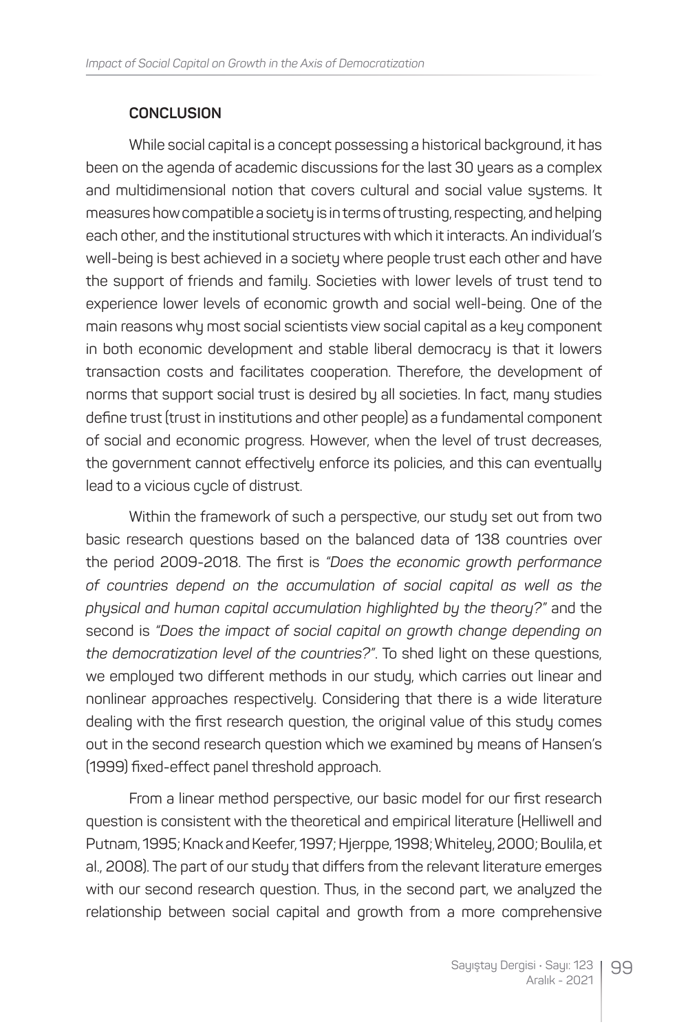### **CONCLUSION**

While social capital is a concept possessing a historical background, it has been on the agenda of academic discussions for the last 30 years as a complex and multidimensional notion that covers cultural and social value systems. It measures how compatible a society is in terms of trusting, respecting, and helping each other, and the institutional structures with which it interacts. An individual's well-being is best achieved in a society where people trust each other and have the support of friends and family. Societies with lower levels of trust tend to experience lower levels of economic growth and social well-being. One of the main reasons why most social scientists view social capital as a key component in both economic development and stable liberal democracy is that it lowers transaction costs and facilitates cooperation. Therefore, the development of norms that support social trust is desired by all societies. In fact, many studies define trust (trust in institutions and other people) as a fundamental component of social and economic progress. However, when the level of trust decreases, the government cannot effectively enforce its policies, and this can eventually lead to a vicious cycle of distrust.

Within the framework of such a perspective, our study set out from two basic research questions based on the balanced data of 138 countries over the period 2009-2018. The first is *"Does the economic growth performance of countries depend on the accumulation of social capital as well as the physical and human capital accumulation highlighted by the theory?"* and the second is *"Does the impact of social capital on growth change depending on the democratization level of the countries?"*. To shed light on these questions, we employed two different methods in our study, which carries out linear and nonlinear approaches respectively. Considering that there is a wide literature dealing with the first research question, the original value of this study comes out in the second research question which we examined by means of Hansen's (1999) fixed-effect panel threshold approach.

From a linear method perspective, our basic model for our first research question is consistent with the theoretical and empirical literature (Helliwell and Putnam, 1995; Knack and Keefer, 1997; Hjerppe, 1998; Whiteley, 2000; Boulila, et al., 2008). The part of our study that differs from the relevant literature emerges with our second research question. Thus, in the second part, we analyzed the relationship between social capital and growth from a more comprehensive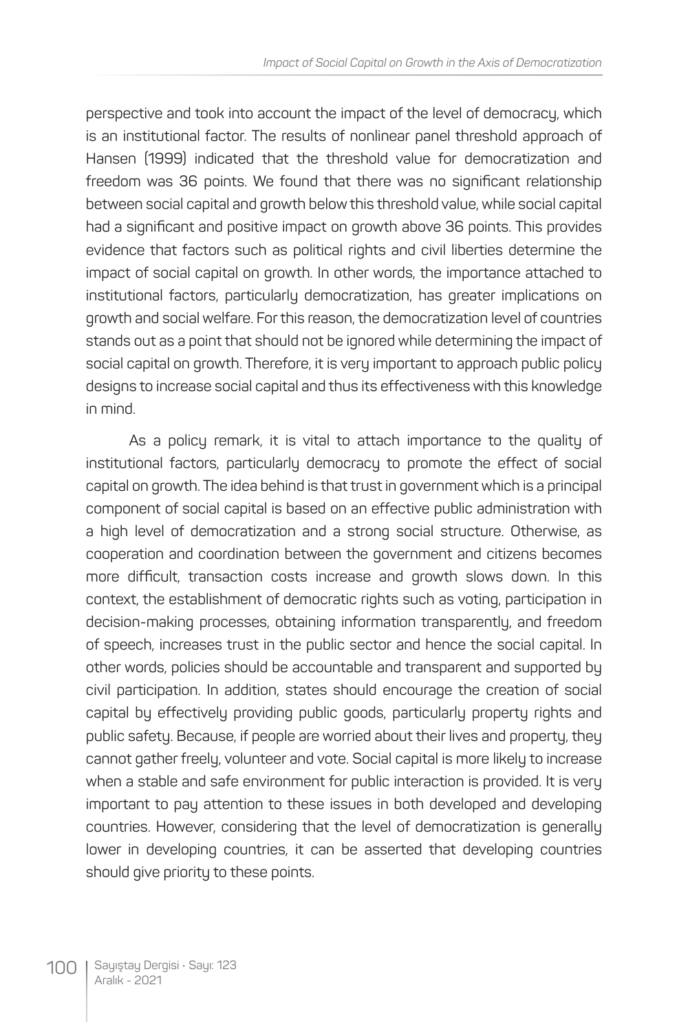perspective and took into account the impact of the level of democracy, which is an institutional factor. The results of nonlinear panel threshold approach of Hansen (1999) indicated that the threshold value for democratization and freedom was 36 points. We found that there was no significant relationship between social capital and growth below this threshold value, while social capital had a significant and positive impact on growth above 36 points. This provides evidence that factors such as political rights and civil liberties determine the impact of social capital on growth. In other words, the importance attached to institutional factors, particularly democratization, has greater implications on growth and social welfare. For this reason, the democratization level of countries stands out as a point that should not be ignored while determining the impact of social capital on growth. Therefore, it is very important to approach public policy designs to increase social capital and thus its effectiveness with this knowledge in mind.

As a policy remark, it is vital to attach importance to the quality of institutional factors, particularly democracy to promote the effect of social capital on growth. The idea behind is that trust in government which is a principal component of social capital is based on an effective public administration with a high level of democratization and a strong social structure. Otherwise, as cooperation and coordination between the government and citizens becomes more difficult, transaction costs increase and growth slows down. In this context, the establishment of democratic rights such as voting, participation in decision-making processes, obtaining information transparently, and freedom of speech, increases trust in the public sector and hence the social capital. In other words, policies should be accountable and transparent and supported by civil participation. In addition, states should encourage the creation of social capital by effectively providing public goods, particularly property rights and public safety. Because, if people are worried about their lives and property, they cannot gather freely, volunteer and vote. Social capital is more likely to increase when a stable and safe environment for public interaction is provided. It is very important to pay attention to these issues in both developed and developing countries. However, considering that the level of democratization is generally lower in developing countries, it can be asserted that developing countries should give priority to these points.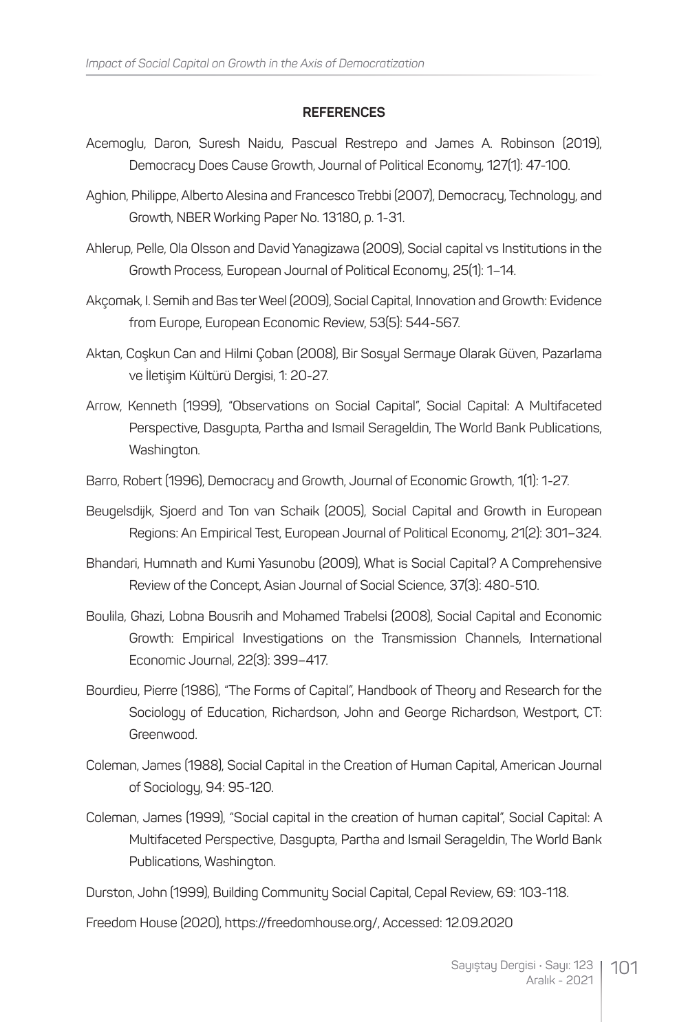#### **REFERENCES**

- Acemoglu, Daron, Suresh Naidu, Pascual Restrepo and James A. Robinson (2019), Democracy Does Cause Growth, Journal of Political Economy, 127(1): 47-100.
- Aghion, Philippe, Alberto Alesina and Francesco Trebbi (2007), Democracy, Technology, and Growth, NBER Working Paper No. 13180, p. 1-31.
- Ahlerup, Pelle, Ola Olsson and David Yanagizawa (2009), Social capital vs Institutions in the Growth Process, European Journal of Political Economy, 25(1): 1–14.
- Akçomak, I. Semih and Bas ter Weel (2009), Social Capital, Innovation and Growth: Evidence from Europe, European Economic Review, 53(5): 544-567.
- Aktan, Coşkun Can and Hilmi Çoban (2008), Bir Sosyal Sermaye Olarak Güven, Pazarlama ve İletişim Kültürü Dergisi, 1: 20-27.
- Arrow, Kenneth (1999), "Observations on Social Capital", Social Capital: A Multifaceted Perspective, Dasgupta, Partha and Ismail Serageldin, The World Bank Publications, Washington.
- Barro, Robert (1996), Democracy and Growth, Journal of Economic Growth, 1(1): 1-27.
- Beugelsdijk, Sjoerd and Ton van Schaik (2005), Social Capital and Growth in European Regions: An Empirical Test, European Journal of Political Economy, 21(2): 301–324.
- Bhandari, Humnath and Kumi Yasunobu (2009), What is Social Capital? A Comprehensive Review of the Concept, Asian Journal of Social Science, 37(3): 480-510.
- Boulila, Ghazi, Lobna Bousrih and Mohamed Trabelsi (2008), Social Capital and Economic Growth: Empirical Investigations on the Transmission Channels, International Economic Journal, 22(3): 399–417.
- Bourdieu, Pierre (1986), "The Forms of Capital", Handbook of Theory and Research for the Sociology of Education, Richardson, John and George Richardson, Westport, CT: Greenwood.
- Coleman, James (1988), Social Capital in the Creation of Human Capital, American Journal of Sociology, 94: 95-120.
- Coleman, James (1999), "Social capital in the creation of human capital", Social Capital: A Multifaceted Perspective, Dasgupta, Partha and Ismail Serageldin, The World Bank Publications, Washington.

Durston, John (1999), Building Community Social Capital, Cepal Review, 69: 103-118.

Freedom House (2020), https://freedomhouse.org/, Accessed: 12.09.2020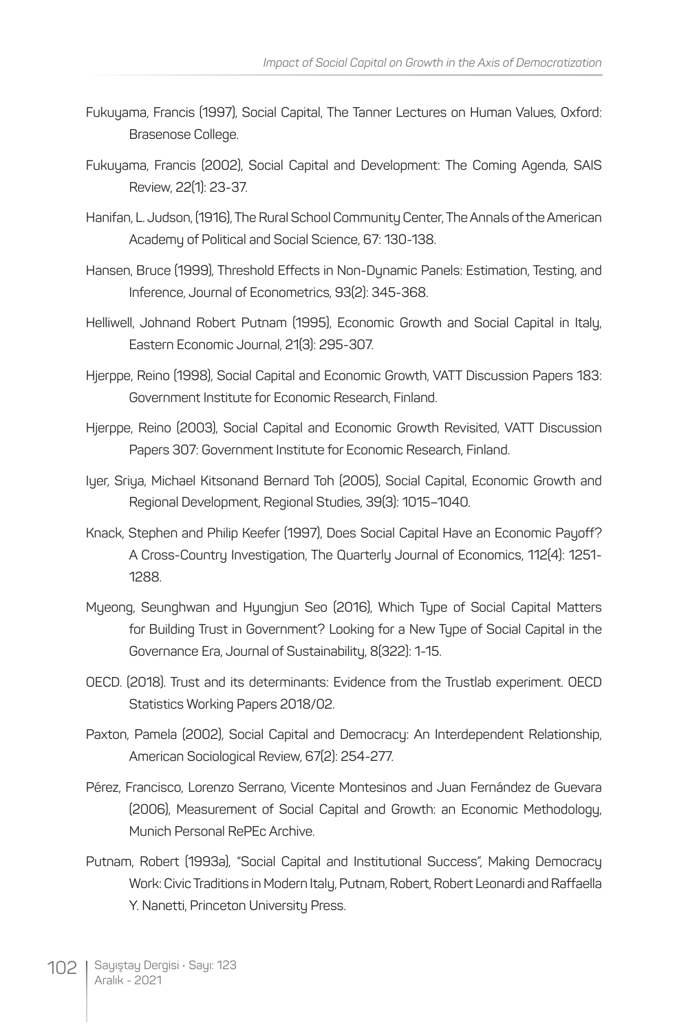- Fukuyama, Francis (1997), Social Capital, The Tanner Lectures on Human Values, Oxford: Brasenose College.
- Fukuyama, Francis (2002), Social Capital and Development: The Coming Agenda, SAIS Review, 22(1): 23-37.
- Hanifan, L. Judson, (1916), The Rural School Community Center, The Annals of the American Academy of Political and Social Science, 67: 130-138.
- Hansen, Bruce (1999), Threshold Effects in Non-Dynamic Panels: Estimation, Testing, and Inference, Journal of Econometrics, 93(2): 345-368.
- Helliwell, Johnand Robert Putnam (1995), Economic Growth and Social Capital in Italy, Eastern Economic Journal, 21(3): 295-307.
- Hjerppe, Reino (1998), Social Capital and Economic Growth, VATT Discussion Papers 183: Government Institute for Economic Research, Finland.
- Hjerppe, Reino (2003), Social Capital and Economic Growth Revisited, VATT Discussion Papers 307: Government Institute for Economic Research, Finland.
- Iyer, Sriya, Michael Kitsonand Bernard Toh (2005), Social Capital, Economic Growth and Regional Development, Regional Studies, 39(3): 1015–1040.
- Knack, Stephen and Philip Keefer (1997), Does Social Capital Have an Economic Payoff? A Cross-Country Investigation, The Quarterly Journal of Economics, 112(4): 1251- 1288.
- Myeong, Seunghwan and Hyungjun Seo (2016), Which Type of Social Capital Matters for Building Trust in Government? Looking for a New Type of Social Capital in the Governance Era, Journal of Sustainability, 8(322): 1-15.
- OECD. (2018). Trust and its determinants: Evidence from the Trustlab experiment. OECD Statistics Working Papers 2018/02.
- Paxton, Pamela (2002), Social Capital and Democracy: An Interdependent Relationship, American Sociological Review, 67(2): 254-277.
- Pérez, Francisco, Lorenzo Serrano, Vicente Montesinos and Juan Fernández de Guevara (2006), Measurement of Social Capital and Growth: an Economic Methodology, Munich Personal RePEc Archive.
- Putnam, Robert (1993a), "Social Capital and Institutional Success", Making Democracy Work: Civic Traditions in Modern Italy, Putnam, Robert, Robert Leonardi and Raffaella Y. Nanetti, Princeton University Press.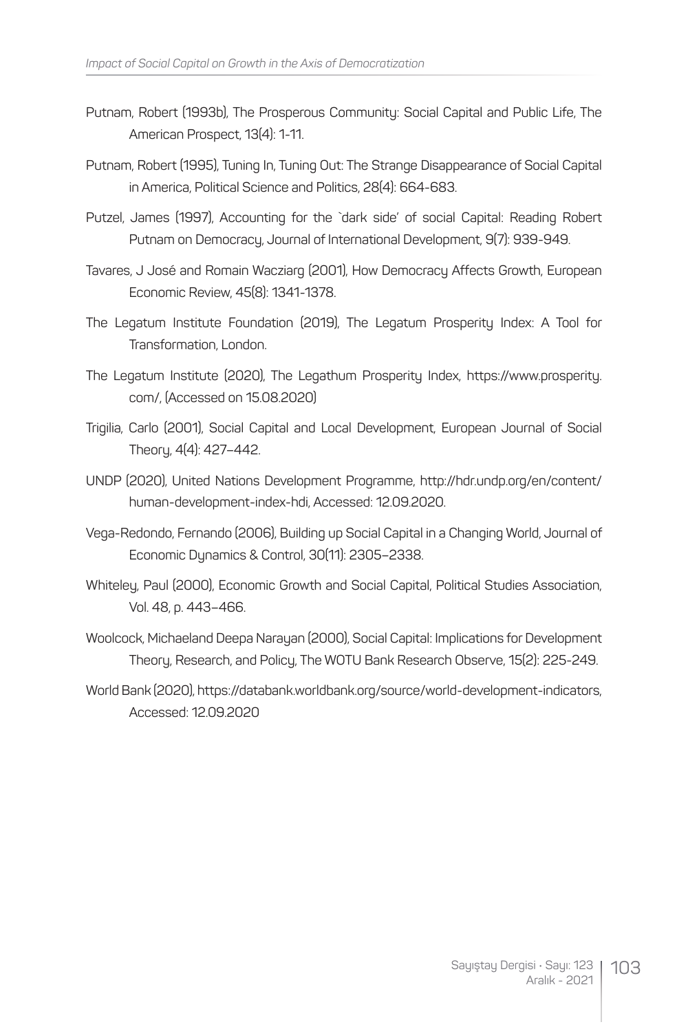- Putnam, Robert (1993b), The Prosperous Community: Social Capital and Public Life, The American Prospect, 13(4): 1-11.
- Putnam, Robert (1995), Tuning In, Tuning Out: The Strange Disappearance of Social Capital in America, Political Science and Politics, 28(4): 664-683.
- Putzel, James (1997), Accounting for the `dark side' of social Capital: Reading Robert Putnam on Democracy, Journal of International Development, 9(7): 939-949.
- Tavares, J José and Romain Wacziarg (2001), How Democracy Affects Growth, European Economic Review, 45(8): 1341-1378.
- The Legatum Institute Foundation (2019), The Legatum Prosperity Index: A Tool for Transformation, London.
- The Legatum Institute (2020), The Legathum Prosperity Index, https://www.prosperity. com/, (Accessed on 15.08.2020)
- Trigilia, Carlo (2001), Social Capital and Local Development, European Journal of Social Theory, 4(4): 427–442.
- UNDP (2020), United Nations Development Programme, http://hdr.undp.org/en/content/ human-development-index-hdi, Accessed: 12.09.2020.
- Vega-Redondo, Fernando (2006), Building up Social Capital in a Changing World, Journal of Economic Dynamics & Control, 30(11): 2305–2338.
- Whiteley, Paul (2000), Economic Growth and Social Capital, Political Studies Association, Vol. 48, p. 443–466.
- Woolcock, Michaeland Deepa Narayan (2000), Social Capital: Implications for Development Theory, Research, and Policy, The WOTU Bank Research Observe, 15(2): 225-249.
- World Bank (2020), https://databank.worldbank.org/source/world-development-indicators, Accessed: 12.09.2020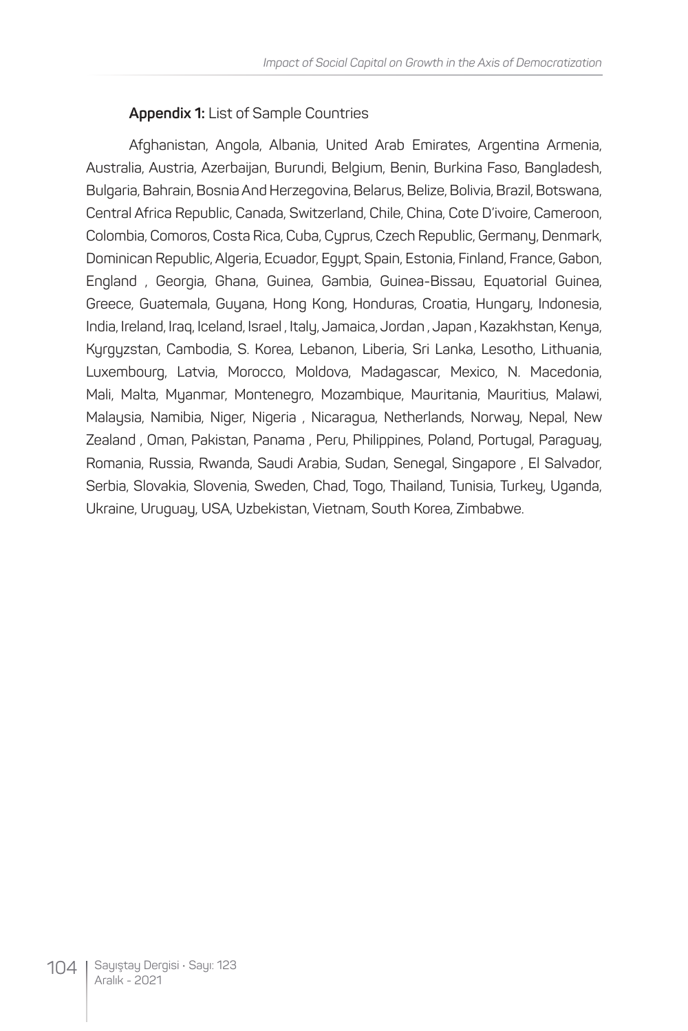#### **Appendix 1:** List of Sample Countries

Afghanistan, Angola, Albania, United Arab Emirates, Argentina Armenia, Australia, Austria, Azerbaijan, Burundi, Belgium, Benin, Burkina Faso, Bangladesh, Bulgaria, Bahrain, Bosnia And Herzegovina, Belarus, Belize, Bolivia, Brazil, Botswana, Central Africa Republic, Canada, Switzerland, Chile, China, Cote D'ivoire, Cameroon, Colombia, Comoros, Costa Rica, Cuba, Cyprus, Czech Republic, Germany, Denmark, Dominican Republic, Algeria, Ecuador, Egypt, Spain, Estonia, Finland, France, Gabon, England , Georgia, Ghana, Guinea, Gambia, Guinea-Bissau, Equatorial Guinea, Greece, Guatemala, Guyana, Hong Kong, Honduras, Croatia, Hungary, Indonesia, India, Ireland, Iraq, Iceland, Israel , Italy, Jamaica, Jordan , Japan , Kazakhstan, Kenya, Kyrgyzstan, Cambodia, S. Korea, Lebanon, Liberia, Sri Lanka, Lesotho, Lithuania, Luxembourg, Latvia, Morocco, Moldova, Madagascar, Mexico, N. Macedonia, Mali, Malta, Myanmar, Montenegro, Mozambique, Mauritania, Mauritius, Malawi, Malaysia, Namibia, Niger, Nigeria , Nicaragua, Netherlands, Norway, Nepal, New Zealand , Oman, Pakistan, Panama , Peru, Philippines, Poland, Portugal, Paraguay, Romania, Russia, Rwanda, Saudi Arabia, Sudan, Senegal, Singapore , El Salvador, Serbia, Slovakia, Slovenia, Sweden, Chad, Togo, Thailand, Tunisia, Turkeu, Uganda, Ukraine, Uruguay, USA, Uzbekistan, Vietnam, South Korea, Zimbabwe.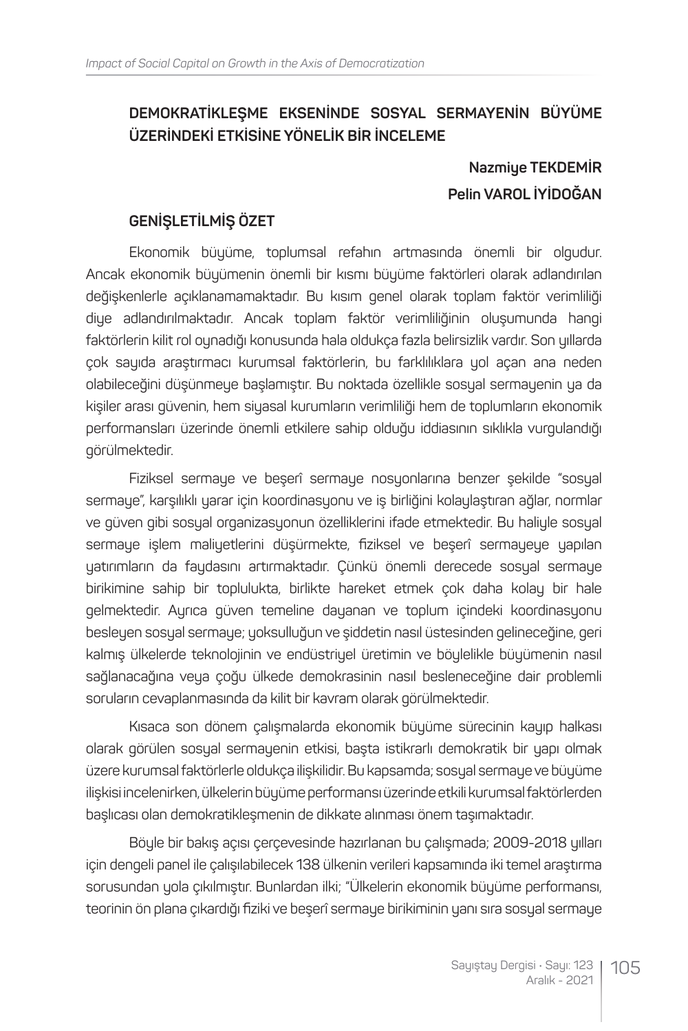### **DEMOKRATİKLEŞME EKSENİNDE SOSYAL SERMAYENİN BÜYÜME ÜZERİNDEKİ ETKİSİNE YÖNELİK BİR İNCELEME**

# **Nazmiye TEKDEMİR Pelin VAROL İYİDOĞAN**

#### **GENİŞLETİLMİŞ ÖZET**

Ekonomik büyüme, toplumsal refahın artmasında önemli bir olgudur. Ancak ekonomik büyümenin önemli bir kısmı büyüme faktörleri olarak adlandırılan değişkenlerle açıklanamamaktadır. Bu kısım genel olarak toplam faktör verimliliği diye adlandırılmaktadır. Ancak toplam faktör verimliliğinin oluşumunda hangi faktörlerin kilit rol oynadığı konusunda hala oldukça fazla belirsizlik vardır. Son yıllarda çok sayıda araştırmacı kurumsal faktörlerin, bu farklılıklara yol açan ana neden olabileceğini düşünmeye başlamıştır. Bu noktada özellikle sosyal sermayenin ya da kişiler arası güvenin, hem siyasal kurumların verimliliği hem de toplumların ekonomik performansları üzerinde önemli etkilere sahip olduğu iddiasının sıklıkla vurgulandığı görülmektedir.

Fiziksel sermaye ve beşerî sermaye nosyonlarına benzer şekilde "sosyal sermaye", karşılıklı yarar için koordinasyonu ve iş birliğini kolaylaştıran ağlar, normlar ve güven gibi sosyal organizasyonun özelliklerini ifade etmektedir. Bu haliyle sosyal sermaye işlem maliyetlerini düşürmekte, fiziksel ve beşerî sermayeye yapılan yatırımların da faydasını artırmaktadır. Çünkü önemli derecede sosyal sermaye birikimine sahip bir toplulukta, birlikte hareket etmek çok daha kolay bir hale gelmektedir. Ayrıca güven temeline dayanan ve toplum içindeki koordinasyonu besleyen sosyal sermaye; yoksulluğun ve şiddetin nasıl üstesinden gelineceğine, geri kalmış ülkelerde teknolojinin ve endüstriyel üretimin ve böylelikle büyümenin nasıl sağlanacağına veya çoğu ülkede demokrasinin nasıl besleneceğine dair problemli soruların cevaplanmasında da kilit bir kavram olarak görülmektedir.

Kısaca son dönem çalışmalarda ekonomik büyüme sürecinin kayıp halkası olarak görülen sosyal sermayenin etkisi, başta istikrarlı demokratik bir yapı olmak üzere kurumsal faktörlerle oldukça ilişkilidir. Bu kapsamda; sosyal sermaye ve büyüme ilişkisi incelenirken, ülkelerin büyüme performansı üzerinde etkili kurumsal faktörlerden başlıcası olan demokratikleşmenin de dikkate alınması önem taşımaktadır.

Böyle bir bakış açısı çerçevesinde hazırlanan bu çalışmada; 2009-2018 yılları için dengeli panel ile çalışılabilecek 138 ülkenin verileri kapsamında iki temel araştırma sorusundan yola çıkılmıştır. Bunlardan ilki; "Ülkelerin ekonomik büyüme performansı, teorinin ön plana çıkardığı fiziki ve beşerî sermaye birikiminin yanı sıra sosyal sermaye